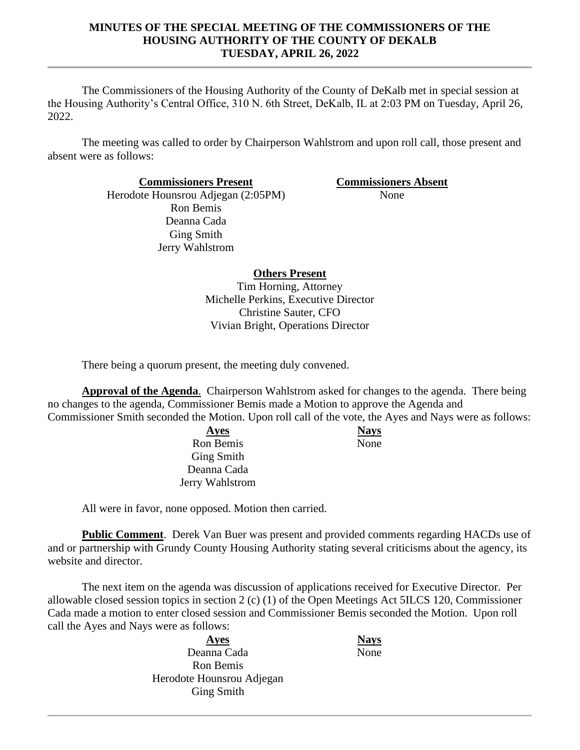## **MINUTES OF THE SPECIAL MEETING OF THE COMMISSIONERS OF THE HOUSING AUTHORITY OF THE COUNTY OF DEKALB TUESDAY, APRIL 26, 2022**

The Commissioners of the Housing Authority of the County of DeKalb met in special session at the Housing Authority's Central Office, 310 N. 6th Street, DeKalb, IL at 2:03 PM on Tuesday, April 26, 2022.

The meeting was called to order by Chairperson Wahlstrom and upon roll call, those present and absent were as follows:

> Herodote Hounsrou Adjegan (2:05PM) Ron Bemis Deanna Cada Ging Smith Jerry Wahlstrom

**Commissioners Present Commissioners Absent**

None

# **Others Present**

Tim Horning, Attorney Michelle Perkins, Executive Director Christine Sauter, CFO Vivian Bright, Operations Director

There being a quorum present, the meeting duly convened.

**Approval of the Agenda**. Chairperson Wahlstrom asked for changes to the agenda. There being no changes to the agenda, Commissioner Bemis made a Motion to approve the Agenda and

Commissioner Smith seconded the Motion. Upon roll call of the vote, the Ayes and Nays were as follows:

Ron Bemis Ging Smith Deanna Cada Jerry Wahlstrom

**Ayes Nays** None

All were in favor, none opposed. Motion then carried.

**Public Comment**. Derek Van Buer was present and provided comments regarding HACDs use of and or partnership with Grundy County Housing Authority stating several criticisms about the agency, its website and director.

The next item on the agenda was discussion of applications received for Executive Director. Per allowable closed session topics in section 2 (c) (1) of the Open Meetings Act 5ILCS 120, Commissioner Cada made a motion to enter closed session and Commissioner Bemis seconded the Motion. Upon roll call the Ayes and Nays were as follows:

> **Ayes Nays** Deanna Cada Ron Bemis Herodote Hounsrou Adjegan Ging Smith

None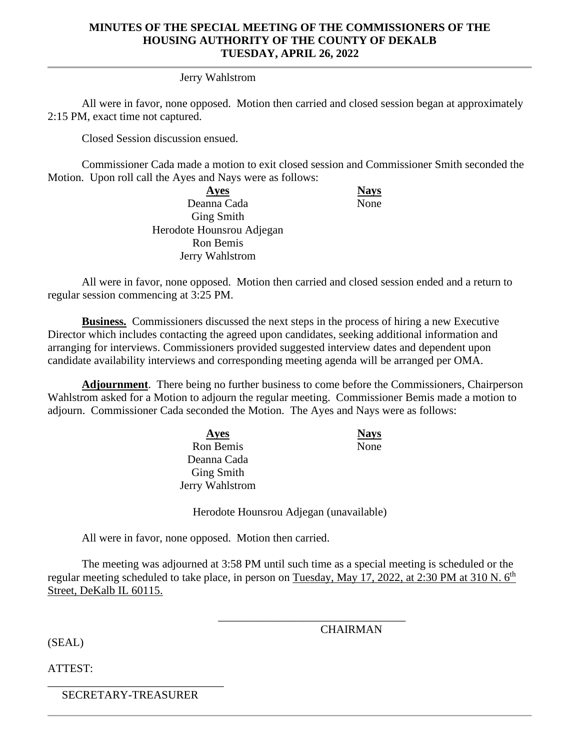## **MINUTES OF THE SPECIAL MEETING OF THE COMMISSIONERS OF THE HOUSING AUTHORITY OF THE COUNTY OF DEKALB TUESDAY, APRIL 26, 2022**

Jerry Wahlstrom

All were in favor, none opposed. Motion then carried and closed session began at approximately 2:15 PM, exact time not captured.

Closed Session discussion ensued.

Commissioner Cada made a motion to exit closed session and Commissioner Smith seconded the Motion. Upon roll call the Ayes and Nays were as follows:

> **Ayes Nays** Deanna Cada Ging Smith Herodote Hounsrou Adjegan Ron Bemis Jerry Wahlstrom

All were in favor, none opposed. Motion then carried and closed session ended and a return to regular session commencing at 3:25 PM.

**Business.** Commissioners discussed the next steps in the process of hiring a new Executive Director which includes contacting the agreed upon candidates, seeking additional information and arranging for interviews. Commissioners provided suggested interview dates and dependent upon candidate availability interviews and corresponding meeting agenda will be arranged per OMA.

**Adjournment**. There being no further business to come before the Commissioners, Chairperson Wahlstrom asked for a Motion to adjourn the regular meeting. Commissioner Bemis made a motion to adjourn. Commissioner Cada seconded the Motion. The Ayes and Nays were as follows:

> **Ayes Nays** Ron Bemis Deanna Cada Ging Smith Jerry Wahlstrom

None

None

Herodote Hounsrou Adjegan (unavailable)

All were in favor, none opposed. Motion then carried.

The meeting was adjourned at 3:58 PM until such time as a special meeting is scheduled or the regular meeting scheduled to take place, in person on Tuesday, May 17, 2022, at 2:30 PM at 310 N. 6<sup>th</sup> Street, DeKalb IL 60115.

\_\_\_\_\_\_\_\_\_\_\_\_\_\_\_\_\_\_\_\_\_\_\_\_\_\_\_\_\_\_\_\_\_

(SEAL)

**CHAIRMAN** 

ATTEST:

\_\_\_\_\_\_\_\_\_\_\_\_\_\_\_\_\_\_\_\_\_\_\_\_\_\_\_\_\_\_\_ SECRETARY-TREASURER